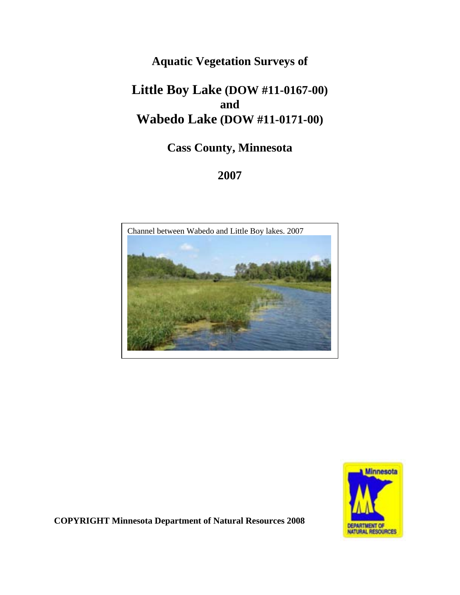## **Aquatic Vegetation Surveys of**

# **Little Boy Lake (DOW #11-0167-00) and Wabedo Lake (DOW #11-0171-00)**

# **Cass County, Minnesota**

### **2007**





**COPYRIGHT Minnesota Department of Natural Resources 2008**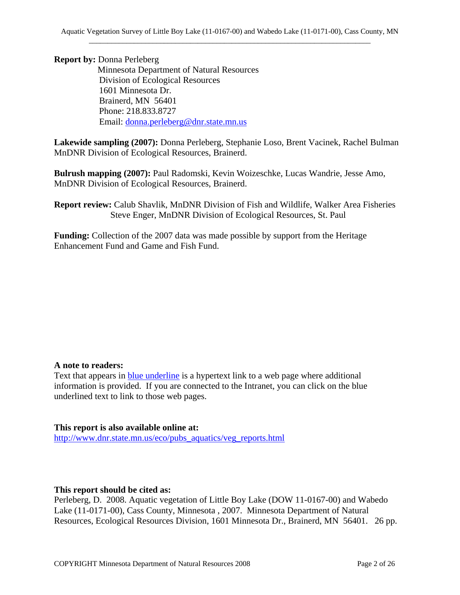**Report by:** Donna Perleberg Minnesota Department of Natural Resources Division of Ecological Resources 1601 Minnesota Dr. Brainerd, MN 56401 Phone: 218.833.8727 Email: donna.perleberg@dnr.state.mn.us

**Lakewide sampling (2007):** Donna Perleberg, Stephanie Loso, Brent Vacinek, Rachel Bulman MnDNR Division of Ecological Resources, Brainerd.

**Bulrush mapping (2007):** Paul Radomski, Kevin Woizeschke, Lucas Wandrie, Jesse Amo, MnDNR Division of Ecological Resources, Brainerd.

**Report review:** Calub Shavlik, MnDNR Division of Fish and Wildlife, Walker Area Fisheries Steve Enger, MnDNR Division of Ecological Resources, St. Paul

**Funding:** Collection of the 2007 data was made possible by support from the Heritage Enhancement Fund and Game and Fish Fund.

#### **A note to readers:**

Text that appears in **blue underline** is a hypertext link to a web page where additional information is provided. If you are connected to the Intranet, you can click on the blue underlined text to link to those web pages.

**This report is also available online at:**  http://www.dnr.state.mn.us/eco/pubs\_aquatics/veg\_reports.html

#### **This report should be cited as:**

Perleberg, D. 2008. Aquatic vegetation of Little Boy Lake (DOW 11-0167-00) and Wabedo Lake (11-0171-00), Cass County, Minnesota , 2007. Minnesota Department of Natural Resources, Ecological Resources Division, 1601 Minnesota Dr., Brainerd, MN 56401. 26 pp.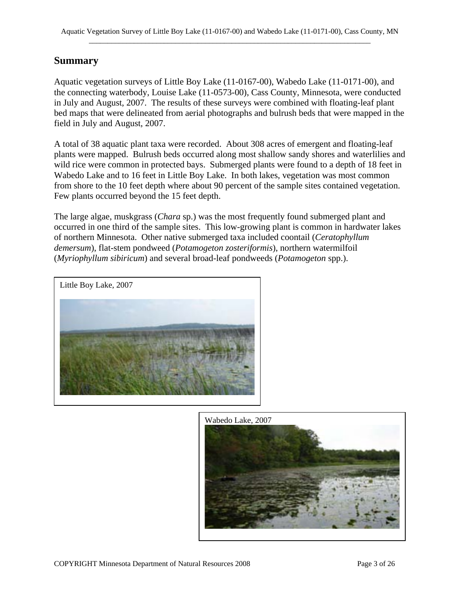### **Summary**

Aquatic vegetation surveys of Little Boy Lake (11-0167-00), Wabedo Lake (11-0171-00), and the connecting waterbody, Louise Lake (11-0573-00), Cass County, Minnesota, were conducted in July and August, 2007. The results of these surveys were combined with floating-leaf plant bed maps that were delineated from aerial photographs and bulrush beds that were mapped in the field in July and August, 2007.

A total of 38 aquatic plant taxa were recorded. About 308 acres of emergent and floating-leaf plants were mapped. Bulrush beds occurred along most shallow sandy shores and waterlilies and wild rice were common in protected bays. Submerged plants were found to a depth of 18 feet in Wabedo Lake and to 16 feet in Little Boy Lake. In both lakes, vegetation was most common from shore to the 10 feet depth where about 90 percent of the sample sites contained vegetation. Few plants occurred beyond the 15 feet depth.

The large algae, muskgrass (*Chara* sp.) was the most frequently found submerged plant and occurred in one third of the sample sites. This low-growing plant is common in hardwater lakes of northern Minnesota. Other native submerged taxa included coontail (*Ceratophyllum demersum*), flat-stem pondweed (*Potamogeton zosteriformis*), northern watermilfoil (*Myriophyllum sibiricum*) and several broad-leaf pondweeds (*Potamogeton* spp.).



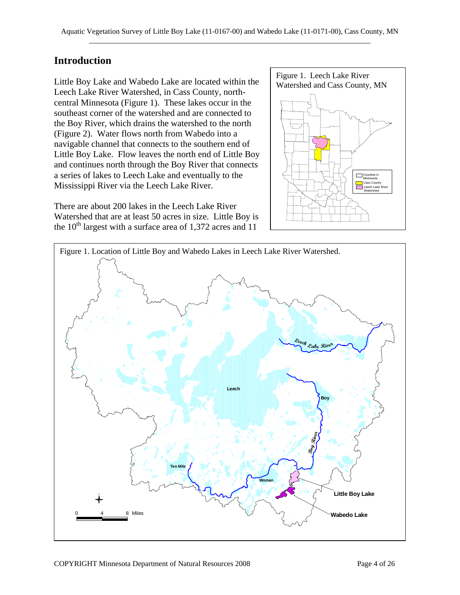### **Introduction**

Little Boy Lake and Wabedo Lake are located within the Watershed and Cass County, MN Leech Lake River Watershed, in Cass County, northcentral Minnesota (Figure 1). These lakes occur in the southeast corner of the watershed and are connected to the Boy River, which drains the watershed to the north (Figure 2). Water flows north from Wabedo into a navigable channel that connects to the southern end of Little Boy Lake. Flow leaves the north end of Little Boy and continues north through the Boy River that connects a series of lakes to Leech Lake and eventually to the Mississippi River via the Leech Lake River.

There are about 200 lakes in the Leech Lake River Watershed that are at least 50 acres in size. Little Boy is the  $10^{th}$  largest with a surface area of 1,372 acres and 11



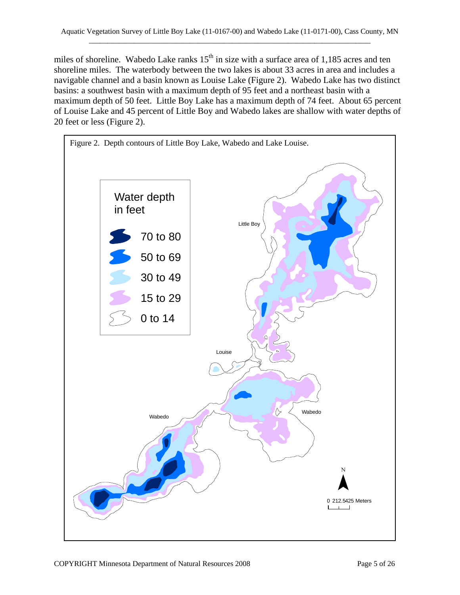miles of shoreline. Wabedo Lake ranks  $15<sup>th</sup>$  in size with a surface area of 1,185 acres and ten shoreline miles. The waterbody between the two lakes is about 33 acres in area and includes a navigable channel and a basin known as Louise Lake (Figure 2). Wabedo Lake has two distinct basins: a southwest basin with a maximum depth of 95 feet and a northeast basin with a maximum depth of 50 feet. Little Boy Lake has a maximum depth of 74 feet. About 65 percent of Louise Lake and 45 percent of Little Boy and Wabedo lakes are shallow with water depths of 20 feet or less (Figure 2).

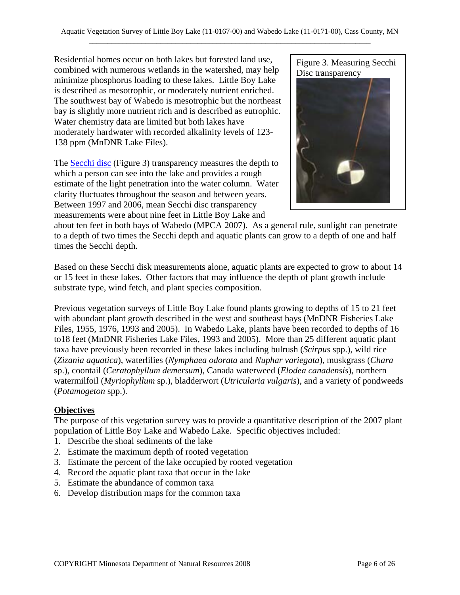Residential homes occur on both lakes but forested land use, combined with numerous wetlands in the watershed, may help minimize phosphorus loading to these lakes. Little Boy Lake is described as mesotrophic, or moderately nutrient enriched. The southwest bay of Wabedo is mesotrophic but the northeast bay is slightly more nutrient rich and is described as eutrophic. Water chemistry data are limited but both lakes have moderately hardwater with recorded alkalinity levels of 123- 138 ppm (MnDNR Lake Files).

The **Secchi disc** (Figure 3) transparency measures the depth to which a person can see into the lake and provides a rough estimate of the light penetration into the water column. Water clarity fluctuates throughout the season and between years. Between 1997 and 2006, mean Secchi disc transparency measurements were about nine feet in Little Boy Lake and

Figure 3. Measuring Secchi Disc transparency



about ten feet in both bays of Wabedo (MPCA 2007). As a general rule, sunlight can penetrate to a depth of two times the Secchi depth and aquatic plants can grow to a depth of one and half times the Secchi depth.

Based on these Secchi disk measurements alone, aquatic plants are expected to grow to about 14 or 15 feet in these lakes. Other factors that may influence the depth of plant growth include substrate type, wind fetch, and plant species composition.

Previous vegetation surveys of Little Boy Lake found plants growing to depths of 15 to 21 feet with abundant plant growth described in the west and southeast bays (MnDNR Fisheries Lake Files, 1955, 1976, 1993 and 2005). In Wabedo Lake, plants have been recorded to depths of 16 to18 feet (MnDNR Fisheries Lake Files, 1993 and 2005). More than 25 different aquatic plant taxa have previously been recorded in these lakes including bulrush (*Scirpus* spp.), wild rice (*Zizania aquatica*), waterlilies (*Nymphaea odorata* and *Nuphar variegata*), muskgrass (*Chara* sp.), coontail (*Ceratophyllum demersum*), Canada waterweed (*Elodea canadensis*), northern watermilfoil (*Myriophyllum* sp.), bladderwort (*Utricularia vulgaris*), and a variety of pondweeds (*Potamogeton* spp.).

#### **Objectives**

The purpose of this vegetation survey was to provide a quantitative description of the 2007 plant population of Little Boy Lake and Wabedo Lake. Specific objectives included:

- 1. Describe the shoal sediments of the lake
- 2. Estimate the maximum depth of rooted vegetation
- 3. Estimate the percent of the lake occupied by rooted vegetation
- 4. Record the aquatic plant taxa that occur in the lake
- 5. Estimate the abundance of common taxa
- 6. Develop distribution maps for the common taxa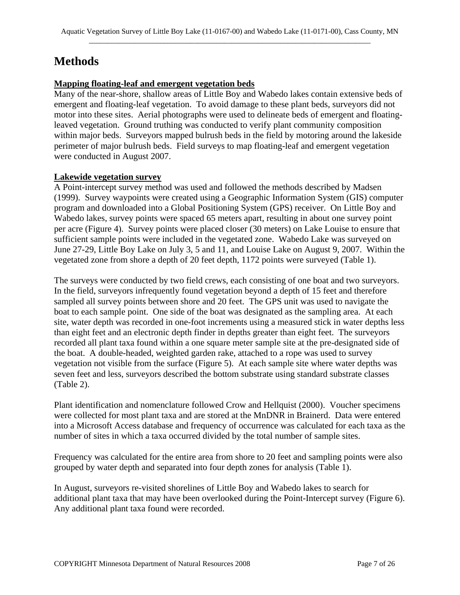# **Methods**

#### **Mapping floating-leaf and emergent vegetation beds**

Many of the near-shore, shallow areas of Little Boy and Wabedo lakes contain extensive beds of emergent and floating-leaf vegetation. To avoid damage to these plant beds, surveyors did not motor into these sites. Aerial photographs were used to delineate beds of emergent and floatingleaved vegetation. Ground truthing was conducted to verify plant community composition within major beds. Surveyors mapped bulrush beds in the field by motoring around the lakeside perimeter of major bulrush beds. Field surveys to map floating-leaf and emergent vegetation were conducted in August 2007.

#### **Lakewide vegetation survey**

A Point-intercept survey method was used and followed the methods described by Madsen (1999). Survey waypoints were created using a Geographic Information System (GIS) computer program and downloaded into a Global Positioning System (GPS) receiver. On Little Boy and Wabedo lakes, survey points were spaced 65 meters apart, resulting in about one survey point per acre (Figure 4). Survey points were placed closer (30 meters) on Lake Louise to ensure that sufficient sample points were included in the vegetated zone. Wabedo Lake was surveyed on June 27-29, Little Boy Lake on July 3, 5 and 11, and Louise Lake on August 9, 2007. Within the vegetated zone from shore a depth of 20 feet depth, 1172 points were surveyed (Table 1).

The surveys were conducted by two field crews, each consisting of one boat and two surveyors. In the field, surveyors infrequently found vegetation beyond a depth of 15 feet and therefore sampled all survey points between shore and 20 feet. The GPS unit was used to navigate the boat to each sample point. One side of the boat was designated as the sampling area. At each site, water depth was recorded in one-foot increments using a measured stick in water depths less than eight feet and an electronic depth finder in depths greater than eight feet. The surveyors recorded all plant taxa found within a one square meter sample site at the pre-designated side of the boat. A double-headed, weighted garden rake, attached to a rope was used to survey vegetation not visible from the surface (Figure 5). At each sample site where water depths was seven feet and less, surveyors described the bottom substrate using standard substrate classes (Table 2).

Plant identification and nomenclature followed Crow and Hellquist (2000). Voucher specimens were collected for most plant taxa and are stored at the MnDNR in Brainerd. Data were entered into a Microsoft Access database and frequency of occurrence was calculated for each taxa as the number of sites in which a taxa occurred divided by the total number of sample sites.

Frequency was calculated for the entire area from shore to 20 feet and sampling points were also grouped by water depth and separated into four depth zones for analysis (Table 1).

In August, surveyors re-visited shorelines of Little Boy and Wabedo lakes to search for additional plant taxa that may have been overlooked during the Point-Intercept survey (Figure 6). Any additional plant taxa found were recorded.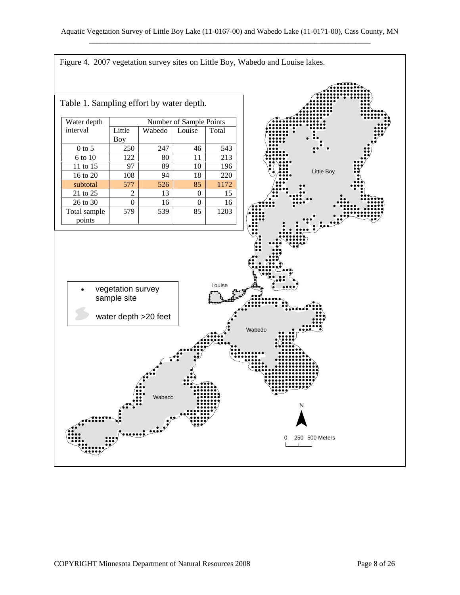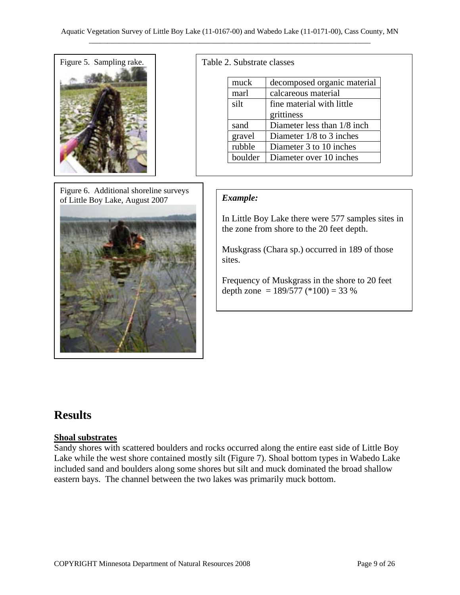

Figure 6. Additional shoreline surveys of Little Boy Lake, August 2007



#### Table 2. Substrate classes

| muck    | decomposed organic material  |  |  |
|---------|------------------------------|--|--|
| marl    | calcareous material          |  |  |
| silt    | fine material with little    |  |  |
|         | grittiness                   |  |  |
| sand    | Diameter less than 1/8 inch. |  |  |
| gravel  | Diameter $1/8$ to 3 inches   |  |  |
| rubble  | Diameter 3 to 10 inches      |  |  |
| boulder | Diameter over 10 inches      |  |  |

#### *Example:*

In Little Boy Lake there were 577 samples sites in the zone from shore to the 20 feet depth.

Muskgrass (Chara sp.) occurred in 189 of those sites.

Frequency of Muskgrass in the shore to 20 feet depth zone =  $189/577$  (\*100) = 33 %

## **Results**

#### **Shoal substrates**

Sandy shores with scattered boulders and rocks occurred along the entire east side of Little Boy Lake while the west shore contained mostly silt (Figure 7). Shoal bottom types in Wabedo Lake included sand and boulders along some shores but silt and muck dominated the broad shallow eastern bays. The channel between the two lakes was primarily muck bottom.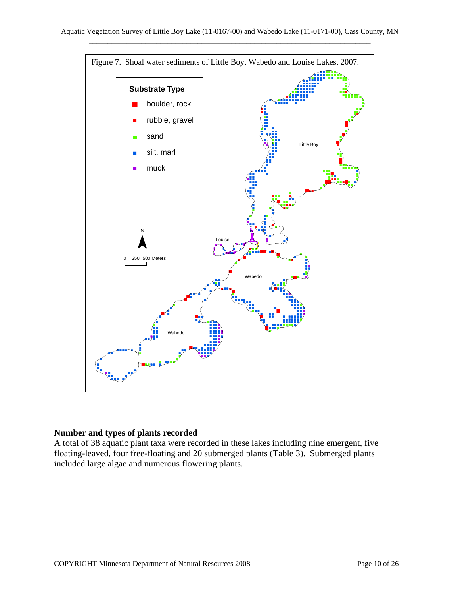

#### **Number and types of plants recorded**

A total of 38 aquatic plant taxa were recorded in these lakes including nine emergent, five floating-leaved, four free-floating and 20 submerged plants (Table 3). Submerged plants included large algae and numerous flowering plants.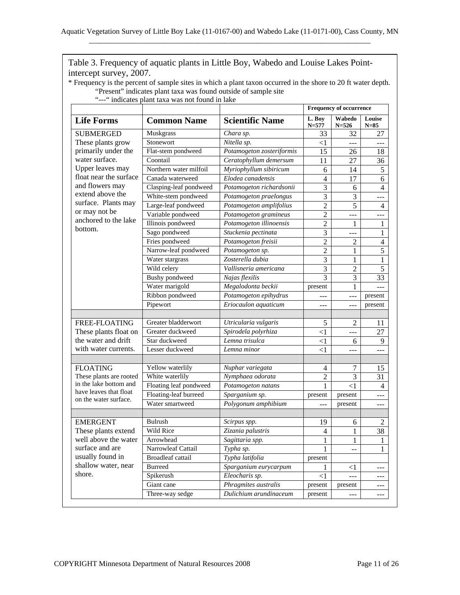| "---" indicates plant taxa was not found in lake<br><b>Life Forms</b>                                                                                                                                                                          | <b>Common Name</b>     | <b>Scientific Name</b>    | <b>Frequency of occurrence</b> |                     |                  |
|------------------------------------------------------------------------------------------------------------------------------------------------------------------------------------------------------------------------------------------------|------------------------|---------------------------|--------------------------------|---------------------|------------------|
|                                                                                                                                                                                                                                                |                        |                           | L. Boy<br>$N = 577$            | Wabedo<br>$N = 526$ | Louise<br>$N=85$ |
| <b>SUBMERGED</b><br>These plants grow<br>primarily under the<br>water surface.<br>Upper leaves may<br>float near the surface<br>and flowers may<br>extend above the<br>surface. Plants may<br>or may not be<br>anchored to the lake<br>bottom. | Muskgrass              | Chara sp.                 | 33                             | 32                  | 27               |
|                                                                                                                                                                                                                                                | Stonewort              | Nitella sp.               | $<$ 1                          | ---                 | ---              |
|                                                                                                                                                                                                                                                | Flat-stem pondweed     | Potamogeton zosteriformis | 15                             | 26                  | 18               |
|                                                                                                                                                                                                                                                | Coontail               | Ceratophyllum demersum    | 11                             | 27                  | 36               |
|                                                                                                                                                                                                                                                | Northern water milfoil | Myriophyllum sibiricum    | 6                              | 14                  | 5                |
|                                                                                                                                                                                                                                                | Canada waterweed       | Elodea canadensis         | $\overline{4}$                 | 17                  | 6                |
|                                                                                                                                                                                                                                                | Clasping-leaf pondweed | Potamogeton richardsonii  | 3                              | 6                   | $\overline{4}$   |
|                                                                                                                                                                                                                                                | White-stem pondweed    | Potamogeton praelongus    | $\overline{3}$                 | 3                   | $---$            |
|                                                                                                                                                                                                                                                | Large-leaf pondweed    | Potamogeton amplifolius   | $\overline{2}$                 | $\overline{5}$      | $\overline{4}$   |
|                                                                                                                                                                                                                                                | Variable pondweed      | Potamogeton gramineus     | $\overline{2}$                 | ---                 |                  |
|                                                                                                                                                                                                                                                | Illinois pondweed      | Potamogeton illinoensis   | $\overline{2}$                 | 1                   | 1                |
|                                                                                                                                                                                                                                                | Sago pondweed          | Stuckenia pectinata       | $\overline{3}$                 | ---                 | 1                |
|                                                                                                                                                                                                                                                | Fries pondweed         | Potamogeton freisii       | $\overline{2}$                 | $\mathfrak{2}$      | $\overline{4}$   |
|                                                                                                                                                                                                                                                | Narrow-leaf pondweed   | Potamogeton sp.           | $\overline{2}$                 | 1                   | $\overline{5}$   |
|                                                                                                                                                                                                                                                | Water stargrass        | Zosterella dubia          | $\overline{3}$                 | 1                   | $\mathbf{1}$     |
|                                                                                                                                                                                                                                                | Wild celery            | Vallisneria americana     | $\overline{3}$                 | $\sqrt{2}$          | $\overline{5}$   |
|                                                                                                                                                                                                                                                | Bushy pondweed         | Najas flexilis            | $\overline{3}$                 | 3                   | 33               |
|                                                                                                                                                                                                                                                | Water marigold         | Megalodonta beckii        | present                        | $\mathbf{1}$        | $---$            |
|                                                                                                                                                                                                                                                | Ribbon pondweed        | Potamogeton epihydrus     | ---                            | ---                 | present          |
|                                                                                                                                                                                                                                                | Pipewort               | Eriocaulon aquaticum      | ---                            | ---                 | present          |
| FREE-FLOATING                                                                                                                                                                                                                                  | Greater bladderwort    | Utricularia vulgaris      | 5                              | $\overline{c}$      | 11               |
| These plants float on                                                                                                                                                                                                                          | Greater duckweed       | Spirodela polyrhiza       | $\leq$ 1                       | ---                 | 27               |
| the water and drift                                                                                                                                                                                                                            | Star duckweed          | Lemna trisulca            | $<$ 1                          | 6                   | 9                |
| with water currents.                                                                                                                                                                                                                           | Lesser duckweed        | Lemna minor               | $<$ 1                          | ---                 | ---              |
|                                                                                                                                                                                                                                                |                        |                           |                                |                     |                  |
| <b>FLOATING</b><br>These plants are rooted<br>in the lake bottom and<br>have leaves that float<br>on the water surface.                                                                                                                        | Yellow waterlily       | Nuphar variegata          | 4                              | 7                   | 15               |
|                                                                                                                                                                                                                                                | White waterlily        | Nymphaea odorata          | $\overline{2}$                 | 3                   | 31               |
|                                                                                                                                                                                                                                                | Floating leaf pondweed | Potamogeton natans        | $\mathbf{1}$                   | $\leq$ 1            | 4                |
|                                                                                                                                                                                                                                                | Floating-leaf burreed  | Sparganium sp.            | present                        | present             | $---$            |
|                                                                                                                                                                                                                                                | Water smartweed        | Polygonum amphibium       | $ -$                           | present             | ---              |
| <b>EMERGENT</b><br>These plants extend                                                                                                                                                                                                         | Bulrush                | Scirpus spp.              | 19                             | 6                   | $\overline{2}$   |
|                                                                                                                                                                                                                                                | Wild Rice              | Zizania palustris         | 4                              | 1                   | 38               |
| well above the water                                                                                                                                                                                                                           | Arrowhead              | Sagittaria spp.           | 1                              | 1                   | 1                |
| surface and are                                                                                                                                                                                                                                | Narrowleaf Cattail     | Typha sp.                 | 1                              | --                  | 1                |
| usually found in                                                                                                                                                                                                                               | Broadleaf cattail      | Typha latifolia           | present                        |                     |                  |
| shallow water, near                                                                                                                                                                                                                            | <b>Burreed</b>         | Sparganium eurycarpum     | 1                              | $\leq$ 1            | $---$            |
| shore.                                                                                                                                                                                                                                         | Spikerush              | Eleocharis sp.            | $<$ 1                          | ---                 |                  |
|                                                                                                                                                                                                                                                | Giant cane             | Phragmites australis      | present                        | present             |                  |
|                                                                                                                                                                                                                                                | Three-way sedge        | Dulichium arundinaceum    | present                        | $---$               | ---              |

Table 3. Frequency of aquatic plants in Little Boy, Wabedo and Louise Lakes Pointintercept survey, 2007.

\* Frequency is the percent of sample sites in which a plant taxon occurred in the shore to 20 ft water depth.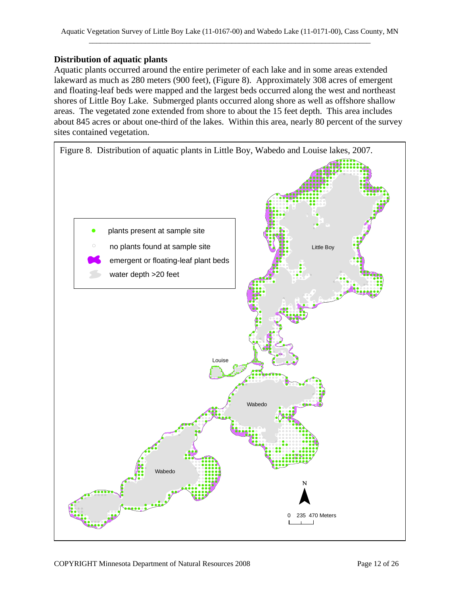#### **Distribution of aquatic plants**

Aquatic plants occurred around the entire perimeter of each lake and in some areas extended lakeward as much as 280 meters (900 feet), (Figure 8). Approximately 308 acres of emergent and floating-leaf beds were mapped and the largest beds occurred along the west and northeast shores of Little Boy Lake. Submerged plants occurred along shore as well as offshore shallow areas. The vegetated zone extended from shore to about the 15 feet depth. This area includes about 845 acres or about one-third of the lakes. Within this area, nearly 80 percent of the survey sites contained vegetation.

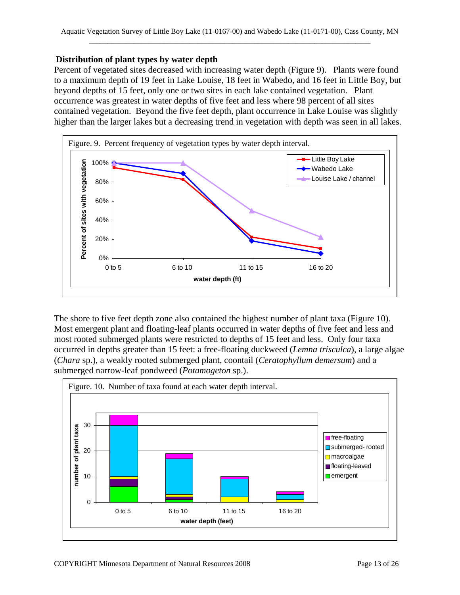#### **Distribution of plant types by water depth**

Percent of vegetated sites decreased with increasing water depth (Figure 9). Plants were found to a maximum depth of 19 feet in Lake Louise, 18 feet in Wabedo, and 16 feet in Little Boy, but beyond depths of 15 feet, only one or two sites in each lake contained vegetation. Plant occurrence was greatest in water depths of five feet and less where 98 percent of all sites contained vegetation. Beyond the five feet depth, plant occurrence in Lake Louise was slightly higher than the larger lakes but a decreasing trend in vegetation with depth was seen in all lakes.



The shore to five feet depth zone also contained the highest number of plant taxa (Figure 10). Most emergent plant and floating-leaf plants occurred in water depths of five feet and less and most rooted submerged plants were restricted to depths of 15 feet and less. Only four taxa occurred in depths greater than 15 feet: a free-floating duckweed (*Lemna trisculca*), a large algae (*Chara* sp.), a weakly rooted submerged plant, coontail (*Ceratophyllum demersum*) and a submerged narrow-leaf pondweed (*Potamogeton* sp.).

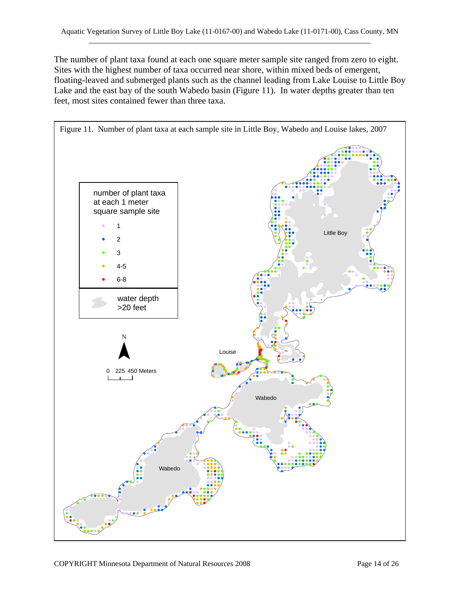The number of plant taxa found at each one square meter sample site ranged from zero to eight. Sites with the highest number of taxa occurred near shore, within mixed beds of emergent, floating-leaved and submerged plants such as the channel leading from Lake Louise to Little Boy Lake and the east bay of the south Wabedo basin (Figure 11). In water depths greater than ten feet, most sites contained fewer than three taxa.

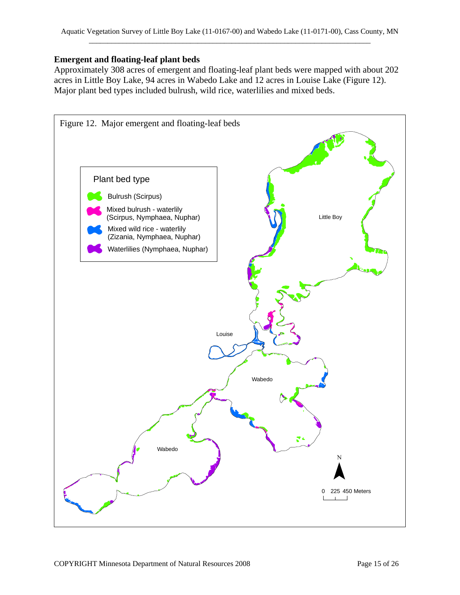#### **Emergent and floating-leaf plant beds**

Approximately 308 acres of emergent and floating-leaf plant beds were mapped with about 202 acres in Little Boy Lake, 94 acres in Wabedo Lake and 12 acres in Louise Lake (Figure 12). Major plant bed types included bulrush, wild rice, waterlilies and mixed beds.

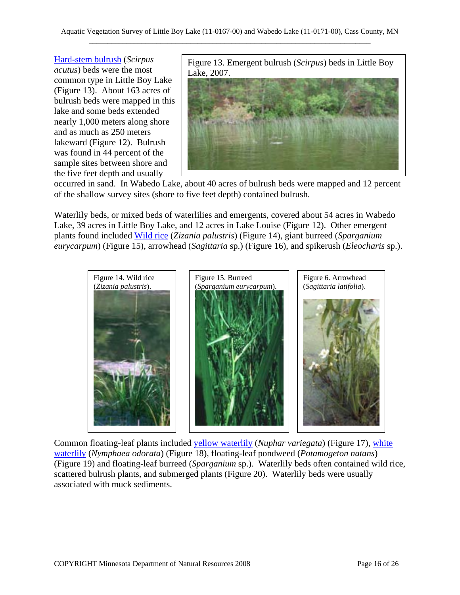Hard-stem bulrush (*Scirpus acutus*) beds were the most common type in Little Boy Lake (Figure 13). About 163 acres of bulrush beds were mapped in this lake and some beds extended nearly 1,000 meters along shore and as much as 250 meters lakeward (Figure 12). Bulrush was found in 44 percent of the sample sites between shore and the five feet depth and usually



occurred in sand. In Wabedo Lake, about 40 acres of bulrush beds were mapped and 12 percent of the shallow survey sites (shore to five feet depth) contained bulrush.

Waterlily beds, or mixed beds of waterlilies and emergents, covered about 54 acres in Wabedo Lake, 39 acres in Little Boy Lake, and 12 acres in Lake Louise (Figure 12). Other emergent plants found included Wild rice (*Zizania palustris*) (Figure 14), giant burreed (*Sparganium eurycarpum*) (Figure 15), arrowhead (*Sagittaria* sp.) (Figure 16), and spikerush (*Eleocharis* sp.).



Common floating-leaf plants included yellow waterlily (*Nuphar variegata*) (Figure 17), white waterlily (*Nymphaea odorata*) (Figure 18), floating-leaf pondweed (*Potamogeton natans*) (Figure 19) and floating-leaf burreed (*Sparganium* sp.). Waterlily beds often contained wild rice, scattered bulrush plants, and submerged plants (Figure 20). Waterlily beds were usually associated with muck sediments.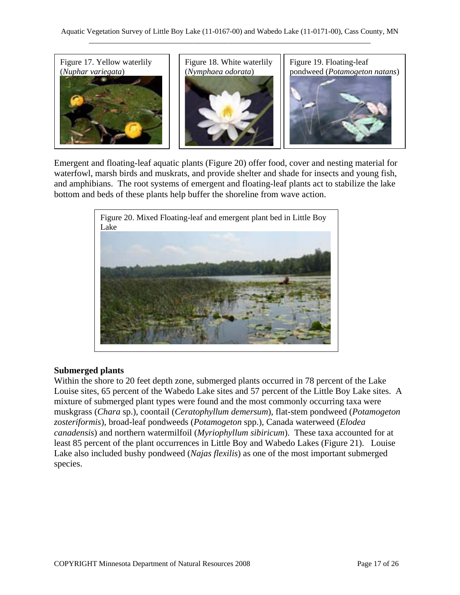

Emergent and floating-leaf aquatic plants (Figure 20) offer food, cover and nesting material for waterfowl, marsh birds and muskrats, and provide shelter and shade for insects and young fish, and amphibians. The root systems of emergent and floating-leaf plants act to stabilize the lake bottom and beds of these plants help buffer the shoreline from wave action.



#### **Submerged plants**

Within the shore to 20 feet depth zone, submerged plants occurred in 78 percent of the Lake Louise sites, 65 percent of the Wabedo Lake sites and 57 percent of the Little Boy Lake sites. A mixture of submerged plant types were found and the most commonly occurring taxa were muskgrass (*Chara* sp.), coontail (*Ceratophyllum demersum*), flat-stem pondweed (*Potamogeton zosteriformis*), broad-leaf pondweeds (*Potamogeton* spp.), Canada waterweed (*Elodea canadensis*) and northern watermilfoil (*Myriophyllum sibiricum*). These taxa accounted for at least 85 percent of the plant occurrences in Little Boy and Wabedo Lakes (Figure 21). Louise Lake also included bushy pondweed (*Najas flexilis*) as one of the most important submerged species.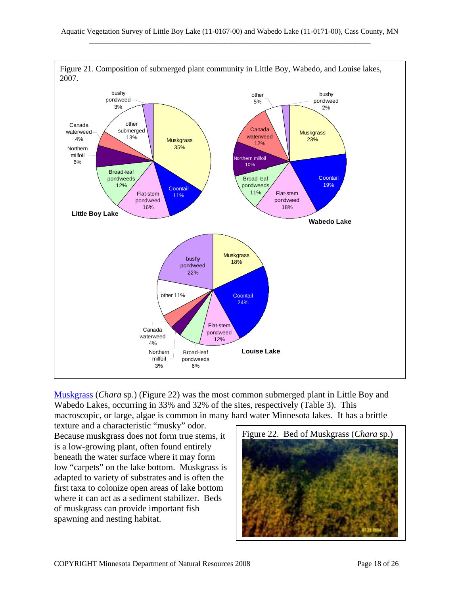

Muskgrass (*Chara* sp.) (Figure 22) was the most common submerged plant in Little Boy and Wabedo Lakes, occurring in 33% and 32% of the sites, respectively (Table 3). This macroscopic, or large, algae is common in many hard water Minnesota lakes. It has a brittle

texture and a characteristic "musky" odor. Because muskgrass does not form true stems, it is a low-growing plant, often found entirely beneath the water surface where it may form low "carpets" on the lake bottom. Muskgrass is adapted to variety of substrates and is often the first taxa to colonize open areas of lake bottom where it can act as a sediment stabilizer. Beds of muskgrass can provide important fish spawning and nesting habitat.

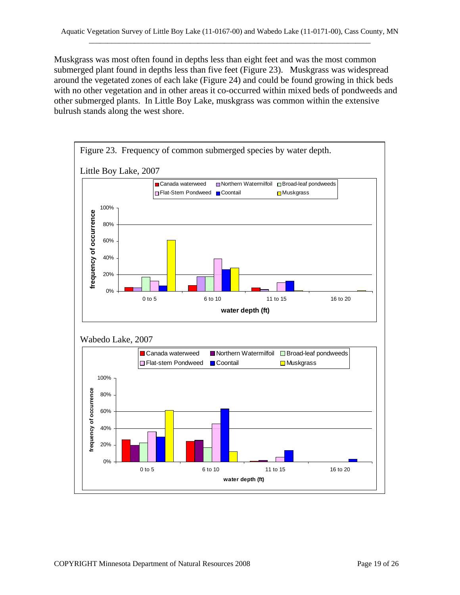Muskgrass was most often found in depths less than eight feet and was the most common submerged plant found in depths less than five feet (Figure 23). Muskgrass was widespread around the vegetated zones of each lake (Figure 24) and could be found growing in thick beds with no other vegetation and in other areas it co-occurred within mixed beds of pondweeds and other submerged plants. In Little Boy Lake, muskgrass was common within the extensive bulrush stands along the west shore.

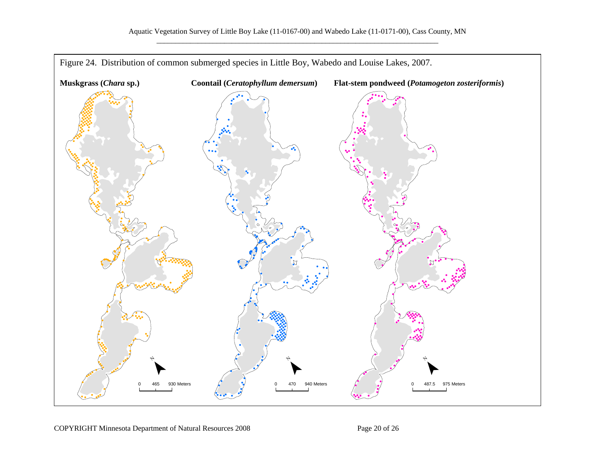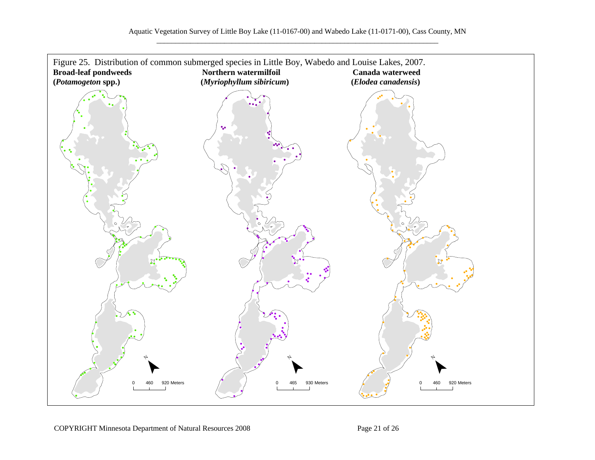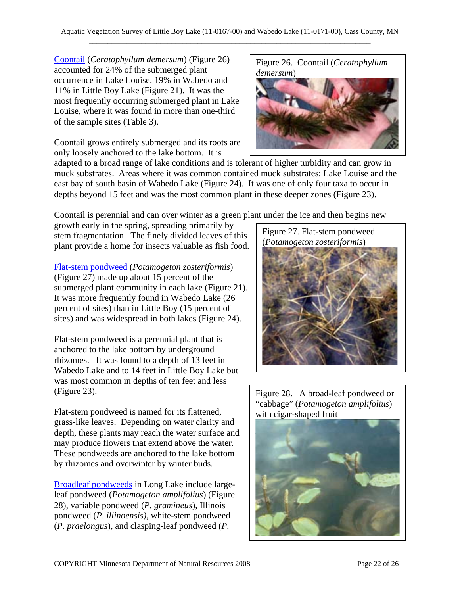**Coontail (***Ceratophyllum demersum*) (Figure 26) Figure 26. Coontail (*Ceratophyllum* accounted for 24% of the submerged plant occurrence in Lake Louise, 19% in Wabedo and 11% in Little Boy Lake (Figure 21). It was the most frequently occurring submerged plant in Lake Louise, where it was found in more than one-third of the sample sites (Table 3).

Coontail grows entirely submerged and its roots are only loosely anchored to the lake bottom. It is



adapted to a broad range of lake conditions and is tolerant of higher turbidity and can grow in muck substrates. Areas where it was common contained muck substrates: Lake Louise and the east bay of south basin of Wabedo Lake (Figure 24). It was one of only four taxa to occur in depths beyond 15 feet and was the most common plant in these deeper zones (Figure 23).

Coontail is perennial and can over winter as a green plant under the ice and then begins new

growth early in the spring, spreading primarily by stem fragmentation. The finely divided leaves of this plant provide a home for insects valuable as fish food.

Flat-stem pondweed (*Potamogeton zosteriformis*) (Figure 27) made up about 15 percent of the submerged plant community in each lake (Figure 21). It was more frequently found in Wabedo Lake (26 percent of sites) than in Little Boy (15 percent of sites) and was widespread in both lakes (Figure 24).

Flat-stem pondweed is a perennial plant that is anchored to the lake bottom by underground rhizomes. It was found to a depth of 13 feet in Wabedo Lake and to 14 feet in Little Boy Lake but was most common in depths of ten feet and less (Figure 23). Figure 28. A broad-leaf pondweed or

Flat-stem pondweed is named for its flattened, with cigar-shaped fruit grass-like leaves. Depending on water clarity and depth, these plants may reach the water surface and may produce flowers that extend above the water. These pondweeds are anchored to the lake bottom by rhizomes and overwinter by winter buds.

Broadleaf pondweeds in Long Lake include largeleaf pondweed (*Potamogeton amplifolius*) (Figure 28), variable pondweed (*P. gramineus*), Illinois pondweed (*P*. *illinoensis)*, white-stem pondweed (*P. praelongus*), and clasping-leaf pondweed (*P.* 

Figure 27. Flat-stem pondweed (*Potamogeton zosteriformis*)

"cabbage" (*Potamogeton amplifolius*)

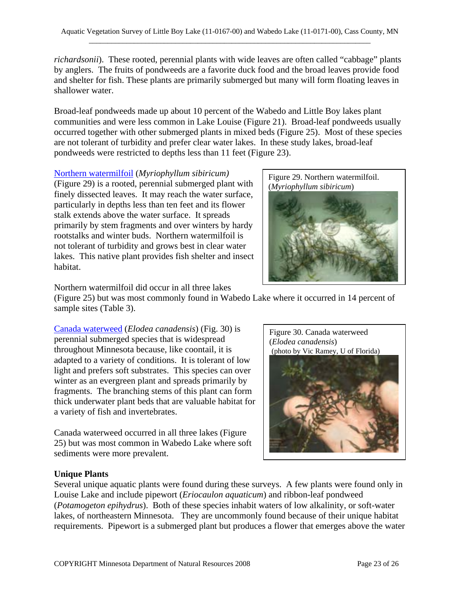*richardsonii*). These rooted, perennial plants with wide leaves are often called "cabbage" plants by anglers. The fruits of pondweeds are a favorite duck food and the broad leaves provide food and shelter for fish. These plants are primarily submerged but many will form floating leaves in shallower water.

Broad-leaf pondweeds made up about 10 percent of the Wabedo and Little Boy lakes plant communities and were less common in Lake Louise (Figure 21). Broad-leaf pondweeds usually occurred together with other submerged plants in mixed beds (Figure 25). Most of these species are not tolerant of turbidity and prefer clear water lakes. In these study lakes, broad-leaf pondweeds were restricted to depths less than 11 feet (Figure 23).

Northern watermilfoil (*Myriophyllum sibiricum)*

(Figure 29) is a rooted, perennial submerged plant with finely dissected leaves. It may reach the water surface, particularly in depths less than ten feet and its flower stalk extends above the water surface. It spreads primarily by stem fragments and over winters by hardy rootstalks and winter buds. Northern watermilfoil is not tolerant of turbidity and grows best in clear water lakes. This native plant provides fish shelter and insect habitat.

Figure 29. Northern watermilfoil. (*Myriophyllum sibiricum*)



Northern watermilfoil did occur in all three lakes

(Figure 25) but was most commonly found in Wabedo Lake where it occurred in 14 percent of sample sites (Table 3).

Canada waterweed (*Elodea canadensis*) (Fig. 30) is perennial submerged species that is widespread throughout Minnesota because, like coontail, it is adapted to a variety of conditions. It is tolerant of low light and prefers soft substrates. This species can over winter as an evergreen plant and spreads primarily by fragments. The branching stems of this plant can form thick underwater plant beds that are valuable habitat for a variety of fish and invertebrates.

Canada waterweed occurred in all three lakes (Figure 25) but was most common in Wabedo Lake where soft sediments were more prevalent.



#### **Unique Plants**

Several unique aquatic plants were found during these surveys. A few plants were found only in Louise Lake and include pipewort (*Eriocaulon aquaticum*) and ribbon-leaf pondweed (*Potamogeton epihydrus*). Both of these species inhabit waters of low alkalinity, or soft-water lakes, of northeastern Minnesota. They are uncommonly found because of their unique habitat requirements. Pipewort is a submerged plant but produces a flower that emerges above the water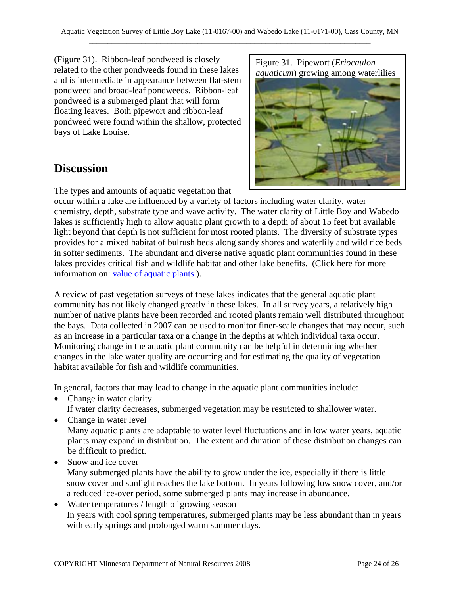(Figure 31). Ribbon-leaf pondweed is closely related to the other pondweeds found in these lakes and is intermediate in appearance between flat-stem pondweed and broad-leaf pondweeds. Ribbon-leaf pondweed is a submerged plant that will form floating leaves. Both pipewort and ribbon-leaf pondweed were found within the shallow, protected bays of Lake Louise.

### **Discussion**

The types and amounts of aquatic vegetation that

occur within a lake are influenced by a variety of factors including water clarity, water chemistry, depth, substrate type and wave activity. The water clarity of Little Boy and Wabedo lakes is sufficiently high to allow aquatic plant growth to a depth of about 15 feet but available light beyond that depth is not sufficient for most rooted plants. The diversity of substrate types provides for a mixed habitat of bulrush beds along sandy shores and waterlily and wild rice beds in softer sediments. The abundant and diverse native aquatic plant communities found in these lakes provides critical fish and wildlife habitat and other lake benefits. (Click here for more information on: value of aquatic plants).

A review of past vegetation surveys of these lakes indicates that the general aquatic plant community has not likely changed greatly in these lakes. In all survey years, a relatively high number of native plants have been recorded and rooted plants remain well distributed throughout the bays. Data collected in 2007 can be used to monitor finer-scale changes that may occur, such as an increase in a particular taxa or a change in the depths at which individual taxa occur. Monitoring change in the aquatic plant community can be helpful in determining whether changes in the lake water quality are occurring and for estimating the quality of vegetation habitat available for fish and wildlife communities.

In general, factors that may lead to change in the aquatic plant communities include:

• Change in water clarity

If water clarity decreases, submerged vegetation may be restricted to shallower water.

- Change in water level Many aquatic plants are adaptable to water level fluctuations and in low water years, aquatic plants may expand in distribution. The extent and duration of these distribution changes can be difficult to predict.
- Snow and ice cover Many submerged plants have the ability to grow under the ice, especially if there is little snow cover and sunlight reaches the lake bottom. In years following low snow cover, and/or a reduced ice-over period, some submerged plants may increase in abundance.
- Water temperatures / length of growing season In years with cool spring temperatures, submerged plants may be less abundant than in years with early springs and prolonged warm summer days.



Figure 31. Pipewort (*Eriocaulon aquaticum*) growing among waterlilies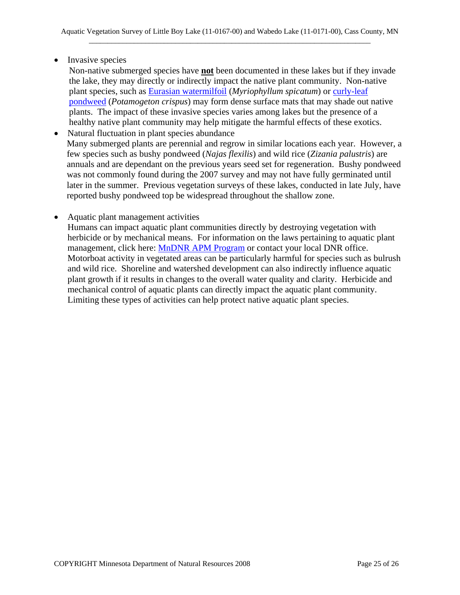• Invasive species

Non-native submerged species have **not** been documented in these lakes but if they invade the lake, they may directly or indirectly impact the native plant community. Non-native plant species, such as Eurasian watermilfoil (*Myriophyllum spicatum*) or curly-leaf pondweed (*Potamogeton crispus*) may form dense surface mats that may shade out native plants. The impact of these invasive species varies among lakes but the presence of a healthy native plant community may help mitigate the harmful effects of these exotics.

- Natural fluctuation in plant species abundance Many submerged plants are perennial and regrow in similar locations each year. However, a few species such as bushy pondweed (*Najas flexilis*) and wild rice (*Zizania palustris*) are annuals and are dependant on the previous years seed set for regeneration. Bushy pondweed was not commonly found during the 2007 survey and may not have fully germinated until later in the summer. Previous vegetation surveys of these lakes, conducted in late July, have reported bushy pondweed top be widespread throughout the shallow zone.
- Aquatic plant management activities

Humans can impact aquatic plant communities directly by destroying vegetation with herbicide or by mechanical means. For information on the laws pertaining to aquatic plant management, click here: MnDNR APM Program or contact your local DNR office. Motorboat activity in vegetated areas can be particularly harmful for species such as bulrush and wild rice. Shoreline and watershed development can also indirectly influence aquatic plant growth if it results in changes to the overall water quality and clarity. Herbicide and mechanical control of aquatic plants can directly impact the aquatic plant community. Limiting these types of activities can help protect native aquatic plant species.